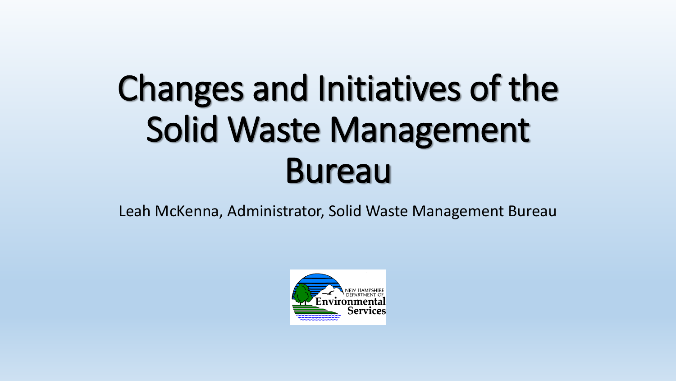# Changes and Initiatives of the Solid Waste Management Bureau

Leah McKenna, Administrator, Solid Waste Management Bureau

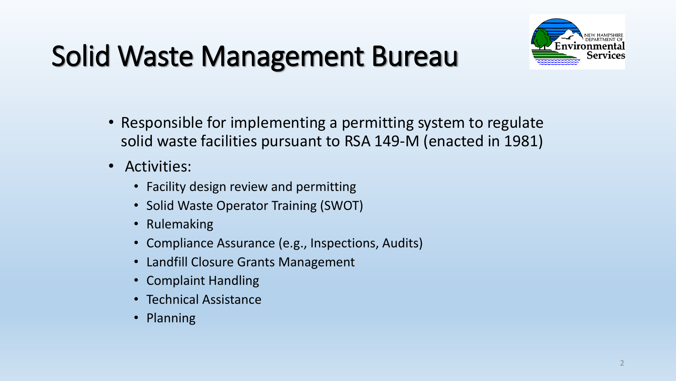### Solid Waste Management Bureau



- Responsible for implementing a permitting system to regulate solid waste facilities pursuant to RSA 149-M (enacted in 1981)
- Activities:
	- Facility design review and permitting
	- Solid Waste Operator Training (SWOT)
	- Rulemaking
	- Compliance Assurance (e.g., Inspections, Audits)
	- Landfill Closure Grants Management
	- Complaint Handling
	- Technical Assistance
	- Planning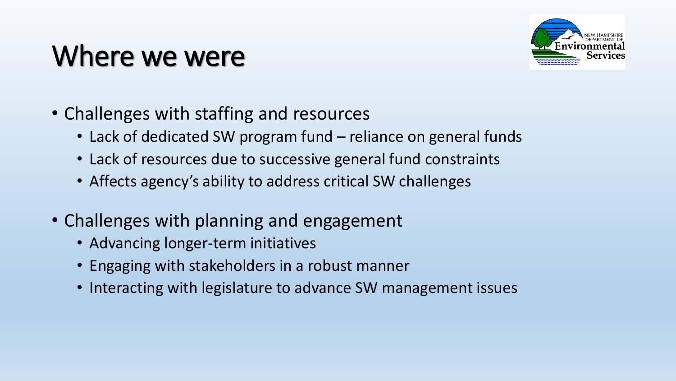### Where we were



- Challenges with staffing and resources
	- Lack of dedicated SW program fund reliance on general funds
	- Lack of resources due to successive general fund constraints
	- Affects agency's ability to address critical SW challenges
- Challenges with planning and engagement
	- Advancing longer-term initiatives
	- Engaging with stakeholders in a robust manner
	- Interacting with legislature to advance SW management issues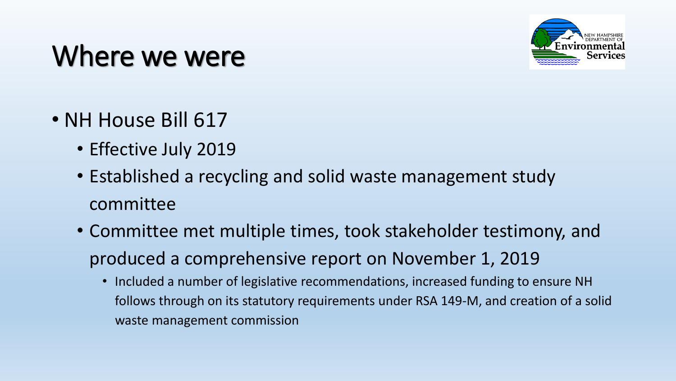#### Where we were



- NH House Bill 617
	- Effective July 2019
	- Established a recycling and solid waste management study committee
	- Committee met multiple times, took stakeholder testimony, and produced a comprehensive report on November 1, 2019
		- Included a number of legislative recommendations, increased funding to ensure NH follows through on its statutory requirements under RSA 149-M, and creation of a solid waste management commission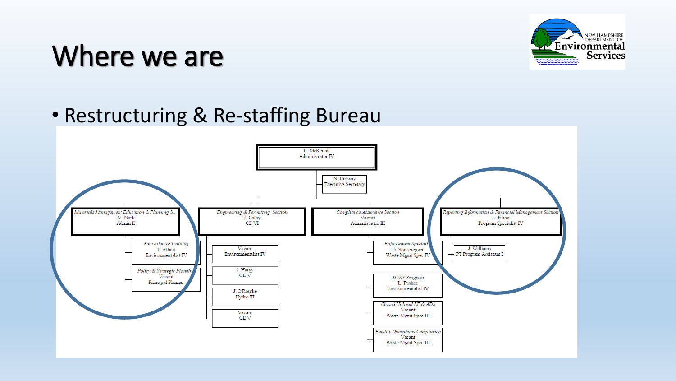

#### • Restructuring & Re-staffing Bureau

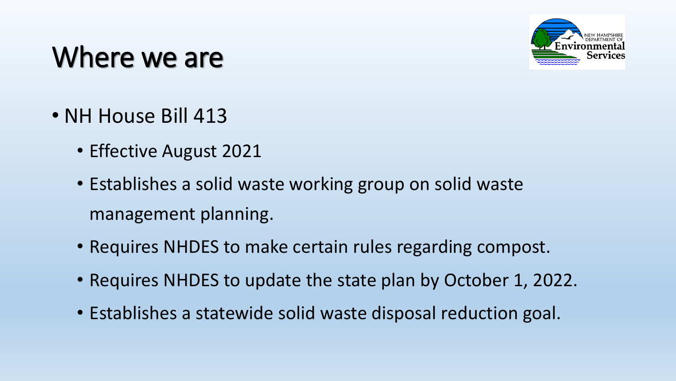

- NH House Bill 413
	- Effective August 2021
	- Establishes a solid waste working group on solid waste management planning.
	- Requires NHDES to make certain rules regarding compost.
	- Requires NHDES to update the state plan by October 1, 2022.
	- Establishes a statewide solid waste disposal reduction goal.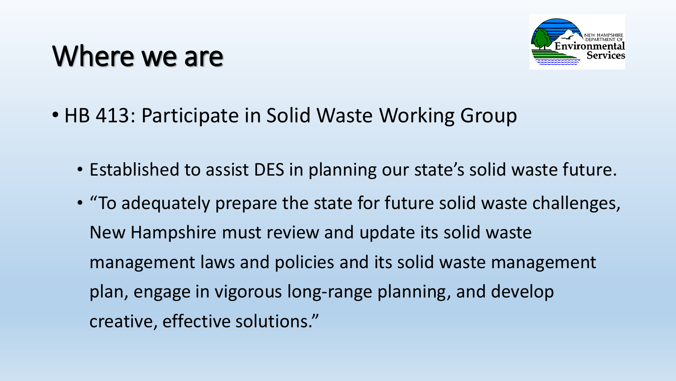

- HB 413: Participate in Solid Waste Working Group
	- Established to assist DES in planning our state's solid waste future.
	- "To adequately prepare the state for future solid waste challenges, New Hampshire must review and update its solid waste management laws and policies and its solid waste management plan, engage in vigorous long-range planning, and develop creative, effective solutions."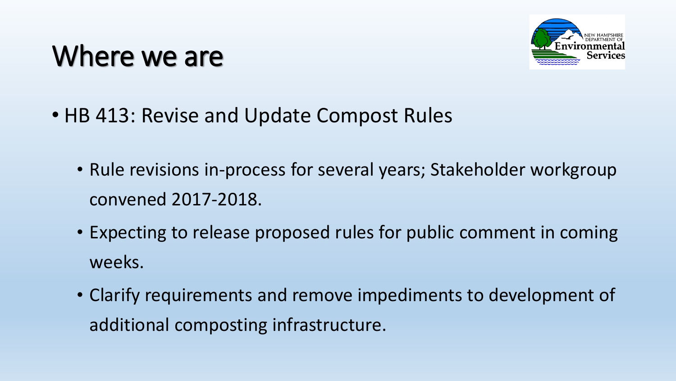

- HB 413: Revise and Update Compost Rules
	- Rule revisions in-process for several years; Stakeholder workgroup convened 2017-2018.
	- Expecting to release proposed rules for public comment in coming weeks.
	- Clarify requirements and remove impediments to development of additional composting infrastructure.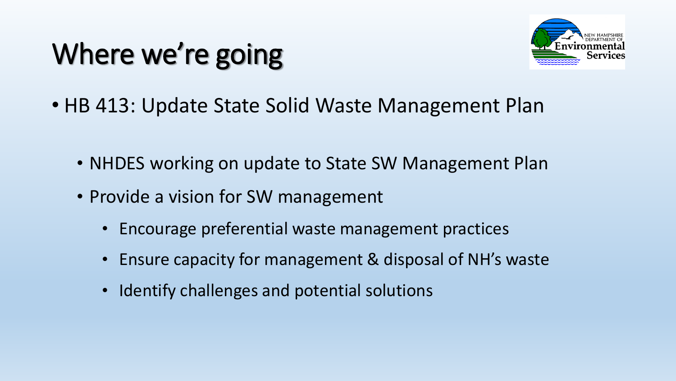

- HB 413: Update State Solid Waste Management Plan
	- NHDES working on update to State SW Management Plan
	- Provide a vision for SW management
		- Encourage preferential waste management practices
		- Ensure capacity for management & disposal of NH's waste
		- Identify challenges and potential solutions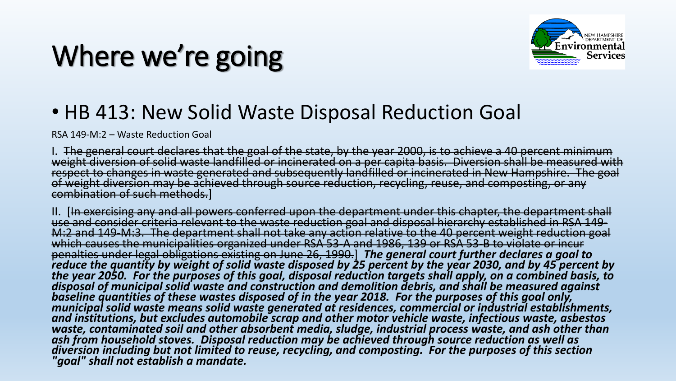

#### • HB 413: New Solid Waste Disposal Reduction Goal

RSA 149-M:2 – Waste Reduction Goal

I. The general court declares that the goal of the state, by the year 2000, is to achieve a 40 percent minimum<br>weight diversion of solid waste landfilled or incinerated on a per capita basis. Diversion shall be measured wi respect to changes in waste generated and subsequently landfilled or incinerated in New Hampshire. The goal<br>of weight diversion may be achieved through source reduction, recycling, reuse, and composting, or any combination of such methods.]

II. [<del>In exercising any and all powers conferred upon the department under this chapter, the department shall<br>use and consider criteria relevant to the waste reduction goal and disposal hierarchy established in RSA 149-<br>M:</del> penalties under legal obligations existing on June 26, 1990.] The general court further declares a goal to<br>reduce the quantity by weight of solid waste disposed by 25 percent by the year 2030, and by 45 percent by *the year 2050. For the purposes of this goal, disposal reduction targets shall apply, on a combined basis, to disposal of municipal solid waste and construction and demolition debris, and shall be measured against baseline quantities of these wastes disposed of in the year 2018. For the purposes of this goal only, municipal solid waste means solid waste generated at residences, commercial or industrial establishments, and institutions, but excludes automobile scrap and other motor vehicle waste, infectious waste, asbestos waste, contaminated soil and other absorbent media, sludge, industrial process waste, and ash other than*  diversion including but not limited to reuse, recycling, and composting. For the purposes of this section<br>"goal" shall not establish a mandate.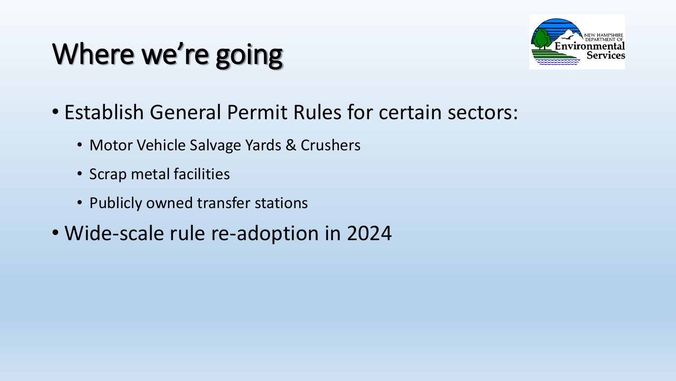

- Establish General Permit Rules for certain sectors:
	- Motor Vehicle Salvage Yards & Crushers
	- Scrap metal facilities
	- Publicly owned transfer stations
- Wide-scale rule re-adoption in 2024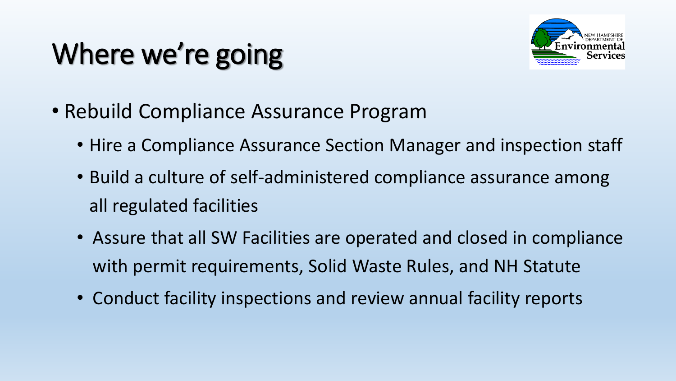

- Rebuild Compliance Assurance Program
	- Hire a Compliance Assurance Section Manager and inspection staff
	- Build a culture of self-administered compliance assurance among all regulated facilities
	- Assure that all SW Facilities are operated and closed in compliance with permit requirements, Solid Waste Rules, and NH Statute
	- Conduct facility inspections and review annual facility reports